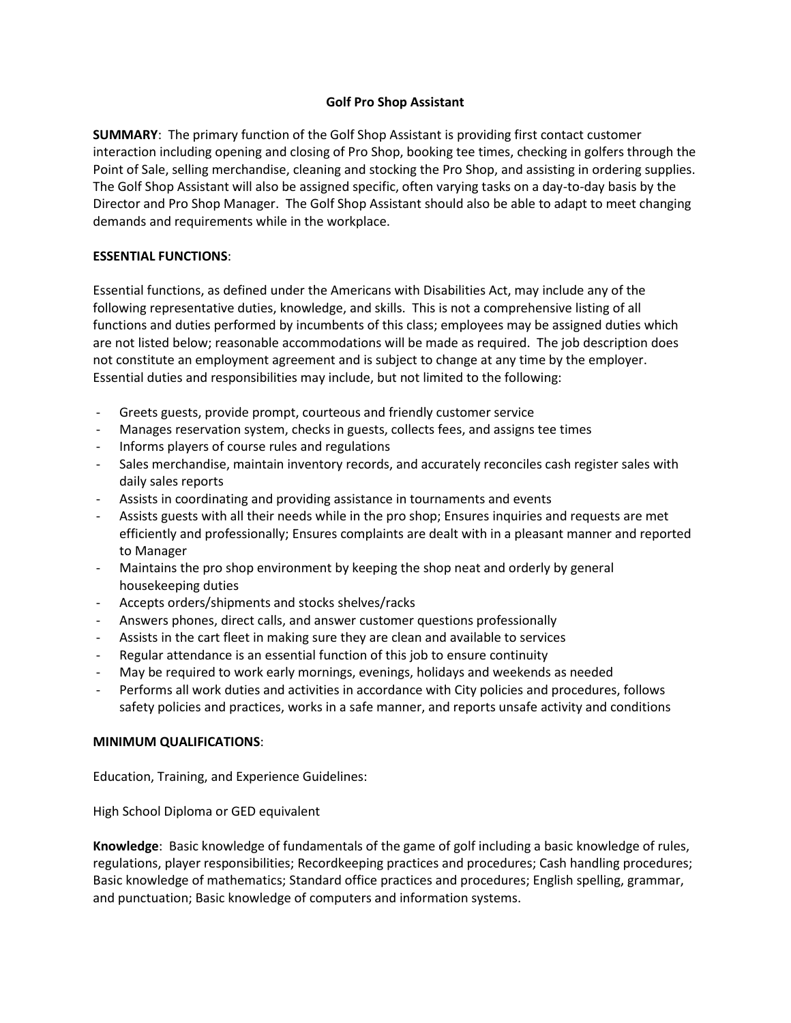# **Golf Pro Shop Assistant**

**SUMMARY**: The primary function of the Golf Shop Assistant is providing first contact customer interaction including opening and closing of Pro Shop, booking tee times, checking in golfers through the Point of Sale, selling merchandise, cleaning and stocking the Pro Shop, and assisting in ordering supplies. The Golf Shop Assistant will also be assigned specific, often varying tasks on a day-to-day basis by the Director and Pro Shop Manager. The Golf Shop Assistant should also be able to adapt to meet changing demands and requirements while in the workplace.

# **ESSENTIAL FUNCTIONS**:

Essential functions, as defined under the Americans with Disabilities Act, may include any of the following representative duties, knowledge, and skills. This is not a comprehensive listing of all functions and duties performed by incumbents of this class; employees may be assigned duties which are not listed below; reasonable accommodations will be made as required. The job description does not constitute an employment agreement and is subject to change at any time by the employer. Essential duties and responsibilities may include, but not limited to the following:

- Greets guests, provide prompt, courteous and friendly customer service
- Manages reservation system, checks in guests, collects fees, and assigns tee times
- Informs players of course rules and regulations
- Sales merchandise, maintain inventory records, and accurately reconciles cash register sales with daily sales reports
- Assists in coordinating and providing assistance in tournaments and events
- Assists guests with all their needs while in the pro shop; Ensures inquiries and requests are met efficiently and professionally; Ensures complaints are dealt with in a pleasant manner and reported to Manager
- Maintains the pro shop environment by keeping the shop neat and orderly by general housekeeping duties
- Accepts orders/shipments and stocks shelves/racks
- Answers phones, direct calls, and answer customer questions professionally
- Assists in the cart fleet in making sure they are clean and available to services
- Regular attendance is an essential function of this job to ensure continuity
- May be required to work early mornings, evenings, holidays and weekends as needed
- Performs all work duties and activities in accordance with City policies and procedures, follows safety policies and practices, works in a safe manner, and reports unsafe activity and conditions

### **MINIMUM QUALIFICATIONS**:

Education, Training, and Experience Guidelines:

High School Diploma or GED equivalent

**Knowledge**: Basic knowledge of fundamentals of the game of golf including a basic knowledge of rules, regulations, player responsibilities; Recordkeeping practices and procedures; Cash handling procedures; Basic knowledge of mathematics; Standard office practices and procedures; English spelling, grammar, and punctuation; Basic knowledge of computers and information systems.